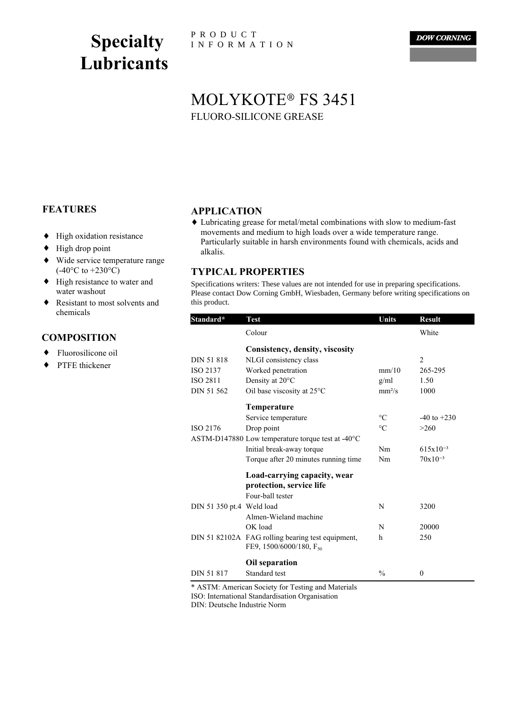**Specialty Lubricants**

P R O D U C T I N F O R M A T I O N

**DOW CORNING** 

# FLUORO-SILICONE GREASE MOLYKOTE® FS 3451

## **FEATURES**

- ♦ High oxidation resistance
- $\blacklozenge$  High drop point
- Wide service temperature range  $(-40^{\circ}C \text{ to } +230^{\circ}C)$ ♦
- High resistance to water and water washout ♦
- Resistant to most solvents and chemicals ♦

# **COMPOSITION**

- ♦ Fluorosilicone oil
- ♦ PTFE thickener

#### <sup>1</sup> **APPLICATION**

♦ Lubricating grease for metal/metal combinations with slow to medium-fast movements and medium to high loads over a wide temperature range. Particularly suitable in harsh environments found with chemicals, acids and alkalis.

#### **TYPICAL PROPERTIES**

Specifications writers: These values are not intended for use in preparing specifications. Please contact Dow Corning GmbH, Wiesbaden, Germany before writing specifications on this product.

| Standard*                 | Test                                                                              | <b>Units</b>    | <b>Result</b>   |
|---------------------------|-----------------------------------------------------------------------------------|-----------------|-----------------|
|                           | Colour                                                                            |                 | White           |
|                           | Consistency, density, viscosity                                                   |                 |                 |
| DIN 51 818                | NLGI consistency class                                                            |                 | $\overline{2}$  |
| <b>ISO 2137</b>           | Worked penetration                                                                | mm/10           | 265-295         |
| ISO 2811                  | Density at 20°C                                                                   | g/ml            | 1.50            |
| DIN 51 562                | Oil base viscosity at 25°C                                                        | $mm^2/s$        | 1000            |
|                           | Temperature                                                                       |                 |                 |
|                           | Service temperature                                                               | $\rm ^{\circ}C$ | $-40$ to $+230$ |
| ISO 2176                  | Drop point                                                                        | $\rm ^{\circ}C$ | >260            |
|                           | ASTM-D147880 Low temperature torque test at -40°C                                 |                 |                 |
|                           | Initial break-away torque                                                         | Nm              | $615x10^{-3}$   |
|                           | Torque after 20 minutes running time                                              | Nm              | $70x10^{-3}$    |
|                           | Load-carrying capacity, wear                                                      |                 |                 |
|                           | protection, service life                                                          |                 |                 |
|                           | Four-ball tester                                                                  |                 |                 |
| DIN 51 350 pt.4 Weld load |                                                                                   | N               | 3200            |
|                           | Almen-Wieland machine                                                             |                 |                 |
|                           | OK load                                                                           | N               | 20000           |
|                           | DIN 51 82102A FAG rolling bearing test equipment,<br>FE9, 1500/6000/180, $F_{50}$ | h               | 250             |
|                           | Oil separation                                                                    |                 |                 |
| DIN 51 817                | Standard test                                                                     | $\frac{0}{0}$   | $\theta$        |
|                           | * ASTM: American Society for Testing and Materials                                |                 |                 |

ISO: International Standardisation Organisation

DIN: Deutsche Industrie Norm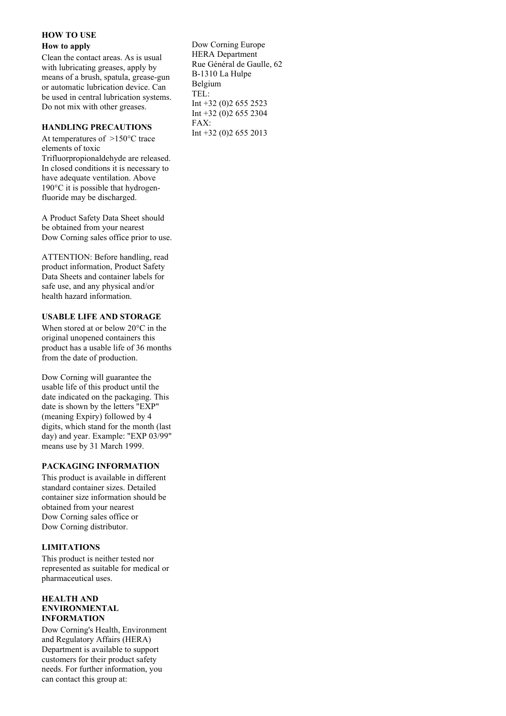#### **HOW TO USE**

#### **How to apply**

Clean the contact areas. As is usual with lubricating greases, apply by means of a brush, spatula, grease-gun or automatic lubrication device. Can be used in central lubrication systems. Do not mix with other greases.

#### **HANDLING PRECAUTIONS**

At temperatures of >150°C trace elements of toxic Trifluorpropionaldehyde are released. In closed conditions it is necessary to have adequate ventilation. Above 190°C it is possible that hydrogenfluoride may be discharged.

A Product Safety Data Sheet should be obtained from your nearest Dow Corning sales office prior to use.

ATTENTION: Before handling, read product information, Product Safety Data Sheets and container labels for safe use, and any physical and/or health hazard information.

## **USABLE LIFE AND STORAGE**

When stored at or below 20°C in the original unopened containers this product has a usable life of 36 months from the date of production.

Dow Corning will guarantee the usable life of this product until the date indicated on the packaging. This date is shown by the letters "EXP" (meaning Expiry) followed by 4 digits, which stand for the month (last day) and year. Example: "EXP 03/99" means use by 31 March 1999.

#### **PACKAGING INFORMATION**

This product is available in different standard container sizes. Detailed container size information should be obtained from your nearest Dow Corning sales office or Dow Corning distributor.

### **LIMITATIONS**

This product is neither tested nor represented as suitable for medical or pharmaceutical uses.

#### **HEALTH AND ENVIRONMENTAL INFORMATION**

Dow Corning's Health, Environment and Regulatory Affairs (HERA) Department is available to support customers for their product safety needs. For further information, you can contact this group at:

Dow Corning Europe HERA Department Rue Général de Gaulle, 62 B-1310 La Hulpe Belgium TEL: Int +32 (0)2 655 2523 Int +32 (0)2 655 2304 FAX: Int +32 (0)2 655 2013